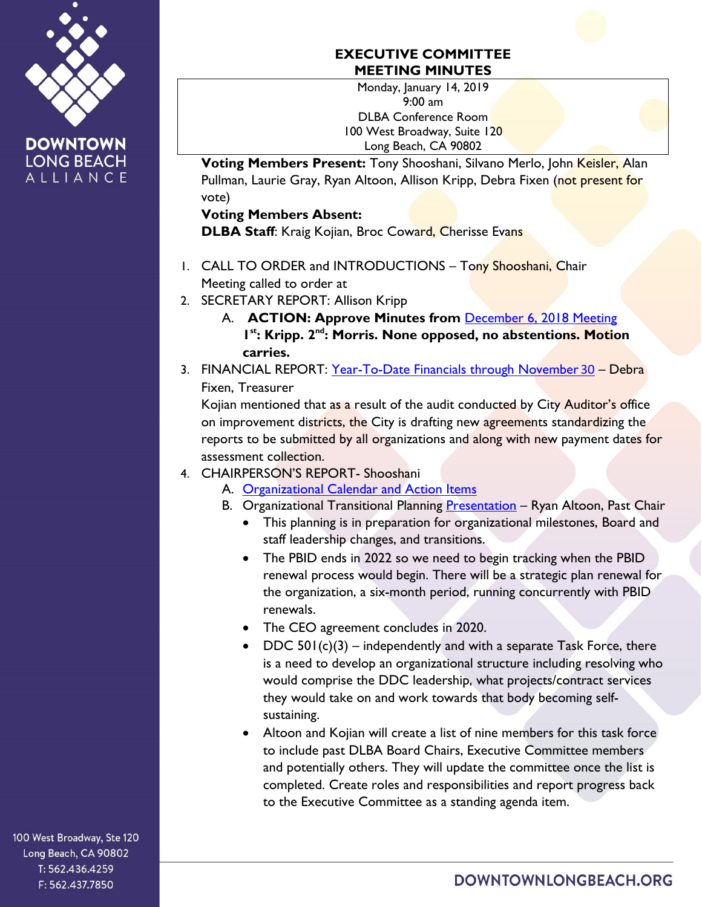

## **EXECUTIVE COMMITTEE MEETING MINUTES**

Monday, January 14, 2019 9:00 am DLBA Conference Room 100 West Broadway, Suite 120 Long Beach, CA 90802

**Voting Members Present:** Tony Shooshani, Silvano Merlo, John Keisler, Alan Pullman, Laurie Gray, Ryan Altoon, Allison Kripp, Debra Fixen (not present for vote)

## **Voting Members Absent:**

**DLBA Staff: Kraig Kojian, Broc Coward, Cherisse Evans** 

- 1. CALL TO ORDER and INTRODUCTIONS Tony Shooshani, Chair Meeting called to order at
- 2. SECRETARY REPORT: Allison Kripp
	- A. **ACTION: Approve Minutes from** [December 6, 2018](https://downtownlongbeach.org/wp-content/uploads/EC-12-6-18-Minutes-1.pdf) Meeting 1<sup>st</sup>: Kripp. 2<sup>nd</sup>: Morris. None opposed, no abstentions. Motion **carries.**
- 3. FINANCIAL REPORT: [Year-To-Date Financials](https://downtownlongbeach.org/wp-content/uploads/DLBA-Financial-Package-November-2018.pdf) through November 30 Debra Fixen, Treasurer

Kojian mentioned that as a result of the audit conducted by City Auditor's office on improvement districts, the City is drafting new agreements standardizing the reports to be submitted by all organizations and along with new payment dates for assessment collection.

- 4. CHAIRPERSON'S REPORT- Shooshani
	- A. [Organizational Calendar and Action Items](https://downtownlongbeach.org/wp-content/uploads/2018-2019-BOARD-Org-Calendar-EC-version-3.pdf)
	- B. Organizational Transitional Planning **[Presentation](https://drive.google.com/file/d/1WJtxQV9AOivRI80TT2VIIO3E4iF7YpNR/view?usp=sharing)** Ryan Altoon, Past Chair
		- This planning is in preparation for organizational milestones, Board and staff leadership changes, and transitions.
		- The PBID ends in 2022 so we need to begin tracking when the PBID renewal process would begin. There will be a strategic plan renewal for the organization, a six-month period, running concurrently with PBID renewals.
		- The CEO agreement concludes in 2020.
		- DDC  $501(c)(3)$  independently and with a separate Task Force, there is a need to develop an organizational structure including resolving who would comprise the DDC leadership, what projects/contract services they would take on and work towards that body becoming selfsustaining.
		- Altoon and Kojian will create a list of nine members for this task force to include past DLBA Board Chairs, Executive Committee members and potentially others. They will update the committee once the list is completed. Create roles and responsibilities and report progress back to the Executive Committee as a standing agenda item.

100 West Broadway, Ste 120 Long Beach, CA 90802 T: 562.436.4259 F: 562.437.7850